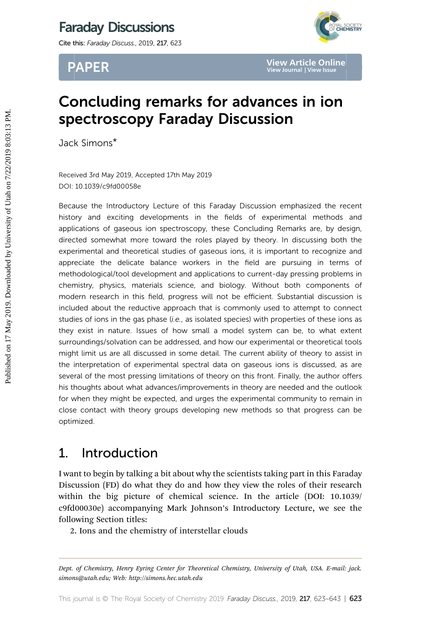# Faraday Discussions

Cite this: Faraday Discuss., 2019, 217, 623



PAPER

# Concluding remarks for advances in ion spectroscopy Faraday Discussion

Jack Simons\*

Received 3rd May 2019, Accepted 17th May 2019 DOI: 10.1039/c9fd00058e

Because the Introductory Lecture of this Faraday Discussion emphasized the recent history and exciting developments in the fields of experimental methods and applications of gaseous ion spectroscopy, these Concluding Remarks are, by design, directed somewhat more toward the roles played by theory. In discussing both the experimental and theoretical studies of gaseous ions, it is important to recognize and appreciate the delicate balance workers in the field are pursuing in terms of methodological/tool development and applications to current-day pressing problems in chemistry, physics, materials science, and biology. Without both components of modern research in this field, progress will not be efficient. Substantial discussion is included about the reductive approach that is commonly used to attempt to connect studies of ions in the gas phase  $(i.e.,$  as isolated species) with properties of these ions as they exist in nature. Issues of how small a model system can be, to what extent surroundings/solvation can be addressed, and how our experimental or theoretical tools might limit us are all discussed in some detail. The current ability of theory to assist in the interpretation of experimental spectral data on gaseous ions is discussed, as are several of the most pressing limitations of theory on this front. Finally, the author offers his thoughts about what advances/improvements in theory are needed and the outlook for when they might be expected, and urges the experimental community to remain in close contact with theory groups developing new methods so that progress can be optimized. **PAPER**<br>
Year Journal IVeruse and<br> **Spectroscopy Faraday Discussion in ion**<br> **Spectroscopy Faraday Discussion emphasized the relations**<br>
Jack Simons\*<br>
Received 3rd May 2019. Accepted 17th May 2019<br>
DOI: 10.1039/c91d00058e<br>

## 1. Introduction

I want to begin by talking a bit about why the scientists taking part in this Faraday Discussion (FD) do what they do and how they view the roles of their research within the big picture of chemical science. In the article (DOI: 10.1039/ c9fd00030e) accompanying Mark Johnson's Introductory Lecture, we see the following Section titles:

2. Ions and the chemistry of interstellar clouds

Dept. of Chemistry, Henry Eyring Center for Theoretical Chemistry, University of Utah, USA. E-mail: jack. simons@utah.edu; Web: http://simons.hec.utah.edu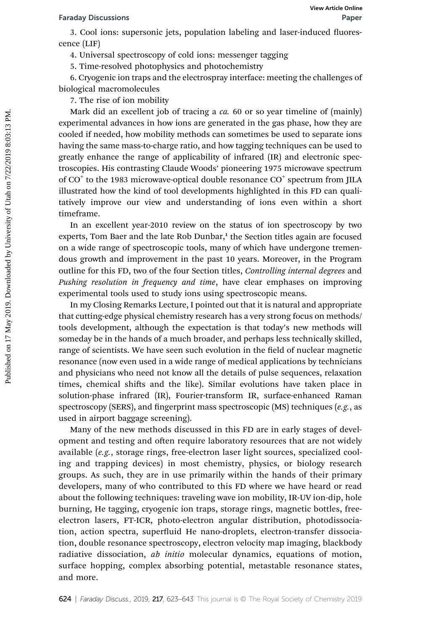3. Cool ions: supersonic jets, population labeling and laser-induced fluorescence (LIF)

4. Universal spectroscopy of cold ions: messenger tagging

5. Time-resolved photophysics and photochemistry

6. Cryogenic ion traps and the electrospray interface: meeting the challenges of biological macromolecules

7. The rise of ion mobility

Mark did an excellent job of tracing a ca. 60 or so year timeline of (mainly) experimental advances in how ions are generated in the gas phase, how they are cooled if needed, how mobility methods can sometimes be used to separate ions having the same mass-to-charge ratio, and how tagging techniques can be used to greatly enhance the range of applicability of infrared (IR) and electronic spectroscopies. His contrasting Claude Woods' pioneering 1975 microwave spectrum of  $CO<sup>+</sup>$  to the 1983 microwave-optical double resonance  $CO<sup>+</sup>$  spectrum from JILA illustrated how the kind of tool developments highlighted in this FD can qualitatively improve our view and understanding of ions even within a short timeframe. For a colume of the section entired on 17 May 2018. The resolution is supersonic jets, population labeling and laser-induced fluorescence (LIF)<br>
4. Universal spectroscopy of cold ions: messenger tagging<br>
5. The research ph

In an excellent year-2010 review on the status of ion spectroscopy by two experts, Tom Baer and the late Rob Dunbar,<sup>1</sup> the Section titles again are focused on a wide range of spectroscopic tools, many of which have undergone tremendous growth and improvement in the past 10 years. Moreover, in the Program outline for this FD, two of the four Section titles, Controlling internal degrees and Pushing resolution in frequency and time, have clear emphases on improving experimental tools used to study ions using spectroscopic means.

In my Closing Remarks Lecture, I pointed out that it is natural and appropriate that cutting-edge physical chemistry research has a very strong focus on methods/ tools development, although the expectation is that today's new methods will someday be in the hands of a much broader, and perhaps less technically skilled, range of scientists. We have seen such evolution in the field of nuclear magnetic resonance (now even used in a wide range of medical applications by technicians and physicians who need not know all the details of pulse sequences, relaxation times, chemical shifts and the like). Similar evolutions have taken place in solution-phase infrared (IR), Fourier-transform IR, surface-enhanced Raman spectroscopy (SERS), and fingerprint mass spectroscopic (MS) techniques  $(e.g.,$  as used in airport baggage screening).

Many of the new methods discussed in this FD are in early stages of development and testing and often require laboratory resources that are not widely available (e.g., storage rings, free-electron laser light sources, specialized cooling and trapping devices) in most chemistry, physics, or biology research groups. As such, they are in use primarily within the hands of their primary developers, many of who contributed to this FD where we have heard or read about the following techniques: traveling wave ion mobility, IR-UV ion-dip, hole burning, He tagging, cryogenic ion traps, storage rings, magnetic bottles, freeelectron lasers, FT-ICR, photo-electron angular distribution, photodissociation, action spectra, superfluid He nano-droplets, electron-transfer dissociation, double resonance spectroscopy, electron velocity map imaging, blackbody radiative dissociation, *ab initio* molecular dynamics, equations of motion, surface hopping, complex absorbing potential, metastable resonance states, and more.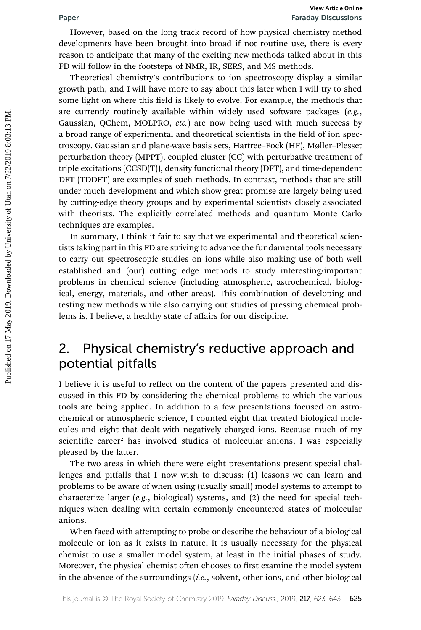However, based on the long track record of how physical chemistry method developments have been brought into broad if not routine use, there is every reason to anticipate that many of the exciting new methods talked about in this FD will follow in the footsteps of NMR, IR, SERS, and MS methods.

Theoretical chemistry's contributions to ion spectroscopy display a similar growth path, and I will have more to say about this later when I will try to shed some light on where this field is likely to evolve. For example, the methods that are currently routinely available within widely used software packages  $(e.g.,)$ Gaussian, QChem, MOLPRO, etc.) are now being used with much success by a broad range of experimental and theoretical scientists in the field of ion spectroscopy. Gaussian and plane-wave basis sets, Hartree–Fock (HF), Møller–Plesset perturbation theory (MPPT), coupled cluster (CC) with perturbative treatment of triple excitations (CCSD(T)), density functional theory (DFT), and time-dependent DFT (TDDFT) are examples of such methods. In contrast, methods that are still under much development and which show great promise are largely being used by cutting-edge theory groups and by experimental scientists closely associated with theorists. The explicitly correlated methods and quantum Monte Carlo techniques are examples. **Published on 17 May 2019.** The state of the state of the state of the state of the state of the state of the state of the state of the state of the state of the state of the state of the state of the state of the state of

In summary, I think it fair to say that we experimental and theoretical scientists taking part in this FD are striving to advance the fundamental tools necessary to carry out spectroscopic studies on ions while also making use of both well established and (our) cutting edge methods to study interesting/important problems in chemical science (including atmospheric, astrochemical, biological, energy, materials, and other areas). This combination of developing and testing new methods while also carrying out studies of pressing chemical problems is, I believe, a healthy state of affairs for our discipline.

## 2. Physical chemistry's reductive approach and potential pitfalls

I believe it is useful to reflect on the content of the papers presented and discussed in this FD by considering the chemical problems to which the various tools are being applied. In addition to a few presentations focused on astrochemical or atmospheric science, I counted eight that treated biological molecules and eight that dealt with negatively charged ions. Because much of my scientific career<sup>2</sup> has involved studies of molecular anions, I was especially pleased by the latter.

The two areas in which there were eight presentations present special challenges and pitfalls that I now wish to discuss: (1) lessons we can learn and problems to be aware of when using (usually small) model systems to attempt to characterize larger (e.g., biological) systems, and (2) the need for special techniques when dealing with certain commonly encountered states of molecular anions.

When faced with attempting to probe or describe the behaviour of a biological molecule or ion as it exists in nature, it is usually necessary for the physical chemist to use a smaller model system, at least in the initial phases of study. Moreover, the physical chemist often chooses to first examine the model system in the absence of the surroundings (i.e., solvent, other ions, and other biological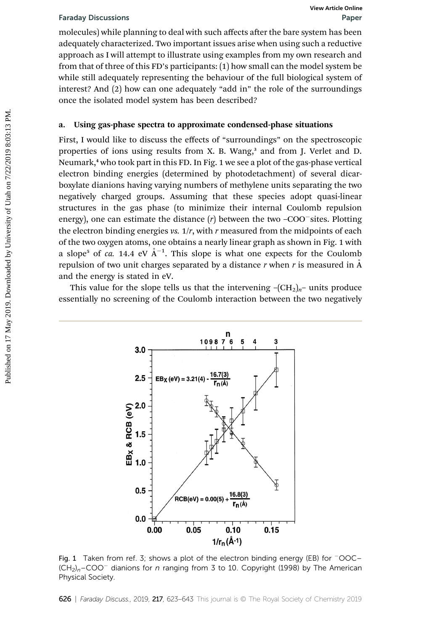molecules) while planning to deal with such affects after the bare system has been adequately characterized. Two important issues arise when using such a reductive approach as I will attempt to illustrate using examples from my own research and from that of three of this FD's participants: (1) how small can the model system be while still adequately representing the behaviour of the full biological system of interest? And (2) how can one adequately "add in" the role of the surroundings once the isolated model system has been described?

## a. Using gas-phase spectra to approximate condensed-phase situations

First, I would like to discuss the effects of "surroundings" on the spectroscopic properties of ions using results from X. B. Wang,<sup>3</sup> and from J. Verlet and D. Neumark,<sup>4</sup> who took part in this FD. In Fig. 1 we see a plot of the gas-phase vertical electron binding energies (determined by photodetachment) of several dicarboxylate dianions having varying numbers of methylene units separating the two negatively charged groups. Assuming that these species adopt quasi-linear structures in the gas phase (to minimize their internal Coulomb repulsion energy), one can estimate the distance  $(r)$  between the two -COO<sup>-</sup>sites. Plotting the electron binding energies vs.  $1/r$ , with r measured from the midpoints of each of the two oxygen atoms, one obtains a nearly linear graph as shown in Fig. 1 with a slope<sup>5</sup> of *ca.* 14.4 eV  $A^{-1}$ . This slope is what one expects for the Coulomb repulsion of two unit charges separated by a distance  $r$  when  $r$  is measured in  $\AA$ and the energy is stated in eV. Faraday Discussions<br>
molecules) while planning to deal with such affects after the bare system has been<br>
adequately characterized. Two important issues arise when using such a reductive<br>
approach as I will attempt to illu

This value for the slope tells us that the intervening  $-(CH_2)_n$ – units produce essentially no screening of the Coulomb interaction between the two negatively



Fig. 1 Taken from ref. 3; shows a plot of the electron binding energy (EB) for  $\overline{OOC}$  $(CH<sub>2</sub>)<sub>n</sub>$ –COO<sup>-</sup> dianions for n ranging from 3 to 10. Copyright (1998) by The American Physical Society.

626 | Faraday Discuss., 2019, 217, 623-643 This journal is © The Royal Society of Chemistry 2019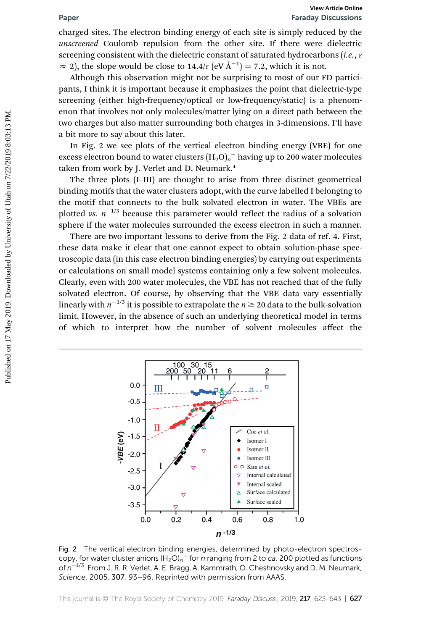charged sites. The electron binding energy of each site is simply reduced by the unscreened Coulomb repulsion from the other site. If there were dielectric screening consistent with the dielectric constant of saturated hydrocarbons (*i.e.*,  $\varepsilon$  $\approx$  2), the slope would be close to 14.4/ $\varepsilon$  (eV  $\AA^{-1}$ ) = 7.2, which it is not.

Although this observation might not be surprising to most of our FD participants, I think it is important because it emphasizes the point that dielectric-type screening (either high-frequency/optical or low-frequency/static) is a phenomenon that involves not only molecules/matter lying on a direct path between the two charges but also matter surrounding both charges in 3-dimensions. I'll have a bit more to say about this later.

In Fig. 2 we see plots of the vertical electron binding energy (VBE) for one excess electron bound to water clusters  $(\mathrm{H_2O})_n{}^-$  having up to 200 water molecules taken from work by I. Verlet and D. Neumark.<sup>4</sup>

The three plots (I–III) are thought to arise from three distinct geometrical binding motifs that the water clusters adopt, with the curve labelled I belonging to the motif that connects to the bulk solvated electron in water. The VBEs are plotted vs.  $n^{-1/3}$  because this parameter would reflect the radius of a solvation sphere if the water molecules surrounded the excess electron in such a manner.

There are two important lessons to derive from the Fig. 2 data of ref. 4. First, these data make it clear that one cannot expect to obtain solution-phase spectroscopic data (in this case electron binding energies) by carrying out experiments or calculations on small model systems containing only a few solvent molecules. Clearly, even with 200 water molecules, the VBE has not reached that of the fully solvated electron. Of course, by observing that the VBE data vary essentially linearly with  $n^{-1/3}$  it is possible to extrapolate the  $n \ge 20$  data to the bulk-solvation limit. However, in the absence of such an underlying theoretical model in terms of which to interpret how the number of solvent molecules affect the **Paper**<br> **Franch Obstrainers**<br> **Controlling the state of the simply reduced by the state of the simply reduced by the augment and constrainer and constrainer of state in simply reduced by the set of the solution of the se** 



Fig. 2 The vertical electron binding energies, determined by photo-electron spectroscopy, for water cluster anions  $(H_2O)_n$ <sup>-</sup> for n ranging from 2 to ca. 200 plotted as functions of  $n^{-1/3}$ . From J. R. R. Verlet, A. E. Bragg, A. Kammrath, O. Cheshnovsky and D. M. Neumark, Science, 2005, 307, 93-96. Reprinted with permission from AAAS.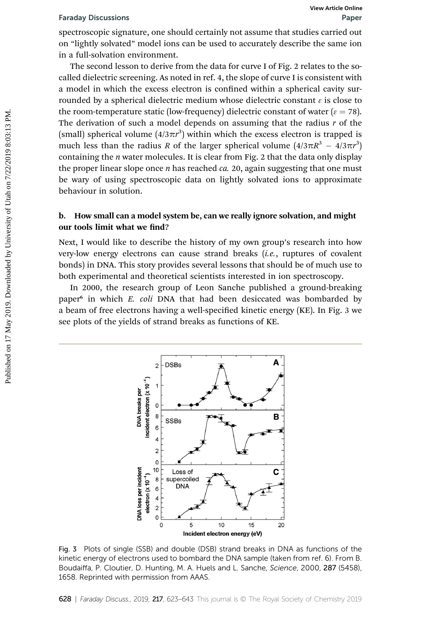spectroscopic signature, one should certainly not assume that studies carried out on "lightly solvated" model ions can be used to accurately describe the same ion in a full-solvation environment.

The second lesson to derive from the data for curve I of Fig. 2 relates to the socalled dielectric screening. As noted in ref. 4, the slope of curve I is consistent with a model in which the excess electron is confined within a spherical cavity surrounded by a spherical dielectric medium whose dielectric constant  $\epsilon$  is close to the room-temperature static (low-frequency) dielectric constant of water ( $\varepsilon$  = 78). The derivation of such a model depends on assuming that the radius  $r$  of the (small) spherical volume  $(4/3\pi r^3)$  within which the excess electron is trapped is much less than the radius R of the larger spherical volume  $(4/3\pi R^3 - 4/3\pi r^3)$ containing the  $n$  water molecules. It is clear from Fig. 2 that the data only display the proper linear slope once  $n$  has reached  $ca. 20$ , again suggesting that one must be wary of using spectroscopic data on lightly solvated ions to approximate behaviour in solution. Faraday Discussions<br>
spectroscopics signature, one should certainly not assume that studies carried out<br>
on "lightly solvated" model ions can be used to accurately describe the same ion<br>
in a full-solvation environment.<br>

## b. How small can a model system be, can we really ignore solvation, and might our tools limit what we find?

Next, I would like to describe the history of my own group's research into how very-low energy electrons can cause strand breaks (i.e., ruptures of covalent bonds) in DNA. This story provides several lessons that should be of much use to both experimental and theoretical scientists interested in ion spectroscopy.

In 2000, the research group of Leon Sanche published a ground-breaking paper<sup>6</sup> in which E. coli DNA that had been desiccated was bombarded by a beam of free electrons having a well-specified kinetic energy (KE). In Fig. 3 we see plots of the yields of strand breaks as functions of KE.



Fig. 3 Plots of single (SSB) and double (DSB) strand breaks in DNA as functions of the kinetic energy of electrons used to bombard the DNA sample (taken from ref. 6). From B. Boudaiffa, P. Cloutier, D. Hunting, M. A. Huels and L. Sanche, Science, 2000, 287 (5458), 1658. Reprinted with permission from AAAS.

628 | Faraday Discuss., 2019, 217, 623-643 This journal is © The Royal Society of Chemistry 2019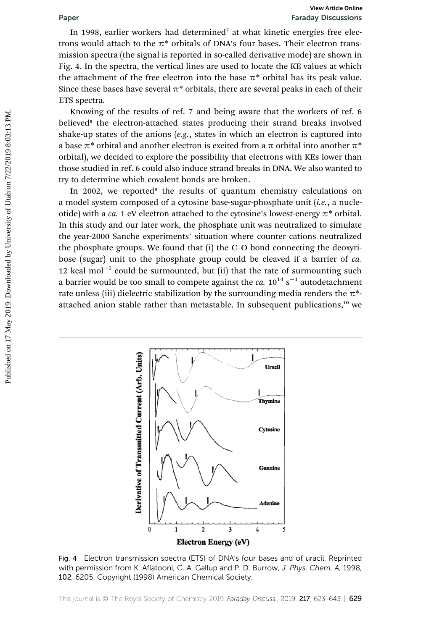In 1998, earlier workers had determined<sup>7</sup> at what kinetic energies free electrons would attach to the  $\pi^*$  orbitals of DNA's four bases. Their electron transmission spectra (the signal is reported in so-called derivative mode) are shown in Fig. 4. In the spectra, the vertical lines are used to locate the KE values at which the attachment of the free electron into the base  $\pi^*$  orbital has its peak value. Since these bases have several  $\pi^*$  orbitals, there are several peaks in each of their ETS spectra.

Knowing of the results of ref. 7 and being aware that the workers of ref. 6 believed<sup>8</sup> the electron-attached states producing their strand breaks involved shake-up states of the anions  $(e.g.,$  states in which an electron is captured into a base  $\pi^*$  orbital and another electron is excited from a  $\pi$  orbital into another  $\pi^*$ orbital), we decided to explore the possibility that electrons with KEs lower than those studied in ref. 6 could also induce strand breaks in DNA. We also wanted to try to determine which covalent bonds are broken.

In 2002, we reported<sup>9</sup> the results of quantum chemistry calculations on a model system composed of a cytosine base-sugar-phosphate unit  $(i.e., a nuclei)$ otide) with a *ca*. 1 eV electron attached to the cytosine's lowest-energy  $\pi^*$  orbital. In this study and our later work, the phosphate unit was neutralized to simulate the year-2000 Sanche experiments' situation where counter cations neutralized the phosphate groups. We found that (i) the C–O bond connecting the deoxyribose (sugar) unit to the phosphate group could be cleaved if a barrier of ca. 12 kcal mol<sup>-1</sup> could be surmounted, but (ii) that the rate of surmounting such a barrier would be too small to compete against the  $ca$ . 10 $^{14}$  s $^{-1}$  autodetachment rate unless (iii) dielectric stabilization by the surrounding media renders the  $\pi^*$ attached anion stable rather than metastable. In subsequent publications,<sup>10</sup> we **Paper**<br> **Franchy Discussions**<br>
In 1998, eatlier workers had determined' at what kinetic energies free electron<br>
times would attach to the  $\pi^*$  orbitals of DNA's four bases. Their electron transmission spectra (the sign



Fig. 4 Electron transmission spectra (ETS) of DNA's four bases and of uracil. Reprinted with permission from K. Aflatooni, G. A. Gallup and P. D. Burrow, J. Phys. Chem. A, 1998, 102, 6205. Copyright (1998) American Chemical Society.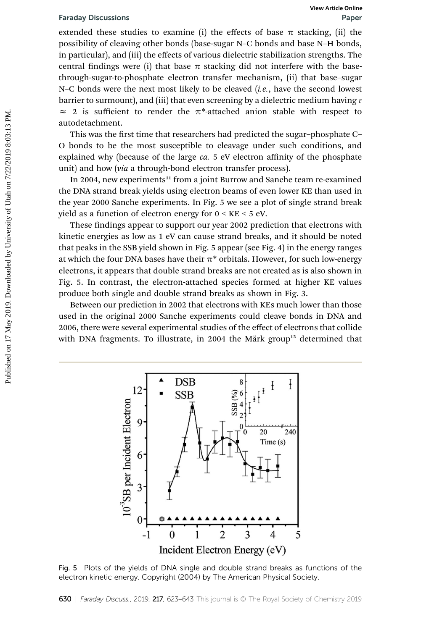extended these studies to examine (i) the effects of base  $\pi$  stacking, (ii) the possibility of cleaving other bonds (base-sugar N–C bonds and base N–H bonds, in particular), and (iii) the effects of various dielectric stabilization strengths. The central findings were (i) that base  $\pi$  stacking did not interfere with the basethrough-sugar-to-phosphate electron transfer mechanism, (ii) that base–sugar N–C bonds were the next most likely to be cleaved  $(i.e.,$  have the second lowest barrier to surmount), and (iii) that even screening by a dielectric medium having  $\varepsilon$  $\approx$  2 is sufficient to render the  $\pi^*$ -attached anion stable with respect to autodetachment. Faraday Discussions<br>
extended three studies to examine (i) the effects of base  $\pi$  staching, (ii) the<br>
possibility of elevantg other bonds (base-sugar N-C bonds and base N-H bonds,<br>
in particular), and (iii) the effects

This was the first time that researchers had predicted the sugar-phosphate C-O bonds to be the most susceptible to cleavage under such conditions, and explained why (because of the large  $ca. 5$  eV electron affinity of the phosphate unit) and how (via a through-bond electron transfer process).

In 2004, new experiments<sup>11</sup> from a joint Burrow and Sanche team re-examined the DNA strand break yields using electron beams of even lower KE than used in the year 2000 Sanche experiments. In Fig. 5 we see a plot of single strand break yield as a function of electron energy for 0 < KE < 5 eV.

These findings appear to support our year 2002 prediction that electrons with kinetic energies as low as 1 eV can cause strand breaks, and it should be noted that peaks in the SSB yield shown in Fig. 5 appear (see Fig. 4) in the energy ranges at which the four DNA bases have their  $\pi^*$  orbitals. However, for such low-energy electrons, it appears that double strand breaks are not created as is also shown in Fig. 5. In contrast, the electron-attached species formed at higher KE values produce both single and double strand breaks as shown in Fig. 3.

Between our prediction in 2002 that electrons with KEs much lower than those used in the original 2000 Sanche experiments could cleave bonds in DNA and 2006, there were several experimental studies of the effect of electrons that collide with DNA fragments. To illustrate, in 2004 the Märk group<sup>12</sup> determined that



Fig. 5 Plots of the yields of DNA single and double strand breaks as functions of the electron kinetic energy. Copyright (2004) by The American Physical Society.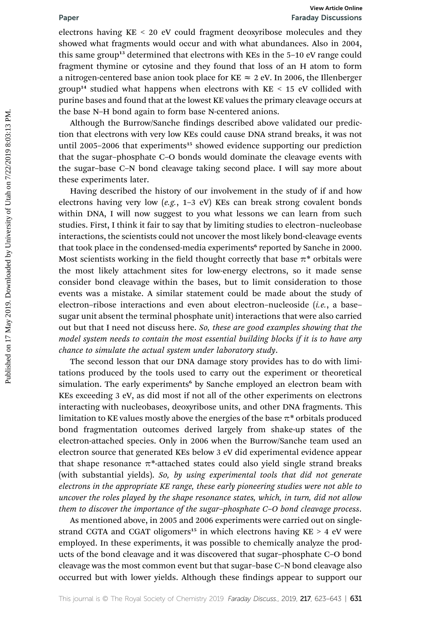electrons having KE < 20 eV could fragment deoxyribose molecules and they showed what fragments would occur and with what abundances. Also in 2004, this same group<sup>13</sup> determined that electrons with KEs in the 5-10 eV range could fragment thymine or cytosine and they found that loss of an H atom to form a nitrogen-centered base anion took place for KE  $\approx$  2 eV. In 2006, the Illenberger group<sup>14</sup> studied what happens when electrons with KE < 15 eV collided with purine bases and found that at the lowest KE values the primary cleavage occurs at the base N–H bond again to form base N-centered anions.

Although the Burrow/Sanche findings described above validated our prediction that electrons with very low KEs could cause DNA strand breaks, it was not until 2005–2006 that experiments<sup>15</sup> showed evidence supporting our prediction that the sugar–phosphate C–O bonds would dominate the cleavage events with the sugar–base C–N bond cleavage taking second place. I will say more about these experiments later.

Having described the history of our involvement in the study of if and how electrons having very low (e.g., 1–3 eV) KEs can break strong covalent bonds within DNA, I will now suggest to you what lessons we can learn from such studies. First, I think it fair to say that by limiting studies to electron–nucleobase interactions, the scientists could not uncover the most likely bond-cleavage events that took place in the condensed-media experiments<sup>6</sup> reported by Sanche in 2000. Most scientists working in the field thought correctly that base  $\pi^*$  orbitals were the most likely attachment sites for low-energy electrons, so it made sense consider bond cleavage within the bases, but to limit consideration to those events was a mistake. A similar statement could be made about the study of electron-ribose interactions and even about electron-nucleoside (i.e., a basesugar unit absent the terminal phosphate unit) interactions that were also carried out but that I need not discuss here. So, these are good examples showing that the model system needs to contain the most essential building blocks if it is to have any chance to simulate the actual system under laboratory study. **Paper**<br> **Franch On-Example Toward on the section of the section of the section showed what fragments would occur and with what abundances. Also in 2004, this same group" determined that electrons with KEs in the 5–10 eV r** 

The second lesson that our DNA damage story provides has to do with limitations produced by the tools used to carry out the experiment or theoretical simulation. The early experiments<sup>6</sup> by Sanche employed an electron beam with KEs exceeding 3 eV, as did most if not all of the other experiments on electrons interacting with nucleobases, deoxyribose units, and other DNA fragments. This limitation to KE values mostly above the energies of the base  $\pi^*$  orbitals produced bond fragmentation outcomes derived largely from shake-up states of the electron-attached species. Only in 2006 when the Burrow/Sanche team used an electron source that generated KEs below 3 eV did experimental evidence appear that shape resonance  $\pi^*$ -attached states could also yield single strand breaks (with substantial yields). So, by using experimental tools that did not generate electrons in the appropriate KE range, these early pioneering studies were not able to uncover the roles played by the shape resonance states, which, in turn, did not allow them to discover the importance of the sugar–phosphate C–O bond cleavage process.

As mentioned above, in 2005 and 2006 experiments were carried out on singlestrand CGTA and CGAT oligomers<sup>15</sup> in which electrons having  $KE > 4$  eV were employed. In these experiments, it was possible to chemically analyze the products of the bond cleavage and it was discovered that sugar–phosphate C–O bond cleavage was the most common event but that sugar–base C–N bond cleavage also occurred but with lower yields. Although these findings appear to support our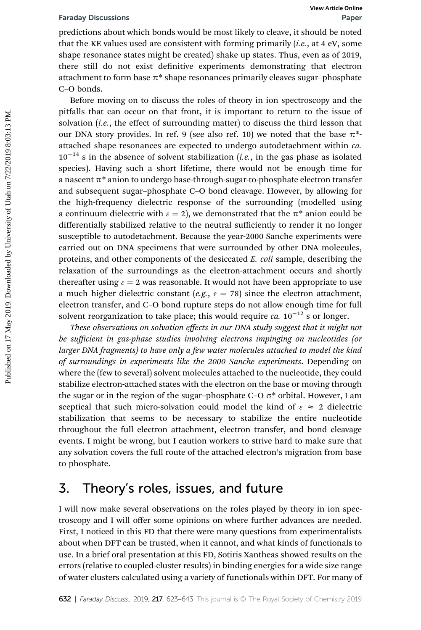predictions about which bonds would be most likely to cleave, it should be noted that the KE values used are consistent with forming primarily  $(i.e., at 4 \text{ eV}, some$ shape resonance states might be created) shake up states. Thus, even as of 2019, there still do not exist definitive experiments demonstrating that electron attachment to form base  $\pi^*$  shape resonances primarily cleaves sugar-phosphate C–O bonds.

Before moving on to discuss the roles of theory in ion spectroscopy and the pitfalls that can occur on that front, it is important to return to the issue of solvation  $(i.e.,$  the effect of surrounding matter) to discuss the third lesson that our DNA story provides. In ref. 9 (see also ref. 10) we noted that the base  $\pi^*$ attached shape resonances are expected to undergo autodetachment within *ca*.  $10^{-14}$  s in the absence of solvent stabilization (*i.e.*, in the gas phase as isolated species). Having such a short lifetime, there would not be enough time for a nascent  $\pi^*$  anion to undergo base-through-sugar-to-phosphate electron transfer and subsequent sugar–phosphate C–O bond cleavage. However, by allowing for the high-frequency dielectric response of the surrounding (modelled using a continuum dielectric with  $\epsilon = 2$ ), we demonstrated that the  $\pi^*$  anion could be differentially stabilized relative to the neutral sufficiently to render it no longer susceptible to autodetachment. Because the year-2000 Sanche experiments were carried out on DNA specimens that were surrounded by other DNA molecules, proteins, and other components of the desiccated E. coli sample, describing the relaxation of the surroundings as the electron-attachment occurs and shortly thereafter using  $\epsilon = 2$  was reasonable. It would not have been appropriate to use a much higher dielectric constant (e.g.,  $\varepsilon = 78$ ) since the electron attachment, electron transfer, and C–O bond rupture steps do not allow enough time for full solvent reorganization to take place; this would require *ca*.  $10^{-12}$  s or longer. Faraday Diecussions Wew Article on<br>predictions about which bonds would be most likely to cleave, it should be not<br>that the KE values used are consistent with forming primarily (*Le.*, at 4 eV, some<br>shape resonance states

These observations on solvation effects in our DNA study suggest that it might not be sufficient in gas-phase studies involving electrons impinging on nucleotides (or larger DNA fragments) to have only a few water molecules attached to model the kind of surroundings in experiments like the 2000 Sanche experiments. Depending on where the (few to several) solvent molecules attached to the nucleotide, they could stabilize electron-attached states with the electron on the base or moving through the sugar or in the region of the sugar–phosphate C–O  $\sigma^*$  orbital. However, I am sceptical that such micro-solvation could model the kind of  $\epsilon \approx 2$  dielectric stabilization that seems to be necessary to stabilize the entire nucleotide throughout the full electron attachment, electron transfer, and bond cleavage events. I might be wrong, but I caution workers to strive hard to make sure that any solvation covers the full route of the attached electron's migration from base to phosphate.

## 3. Theory's roles, issues, and future

I will now make several observations on the roles played by theory in ion spectroscopy and I will offer some opinions on where further advances are needed. First, I noticed in this FD that there were many questions from experimentalists about when DFT can be trusted, when it cannot, and what kinds of functionals to use. In a brief oral presentation at this FD, Sotiris Xantheas showed results on the errors (relative to coupled-cluster results) in binding energies for a wide size range of water clusters calculated using a variety of functionals within DFT. For many of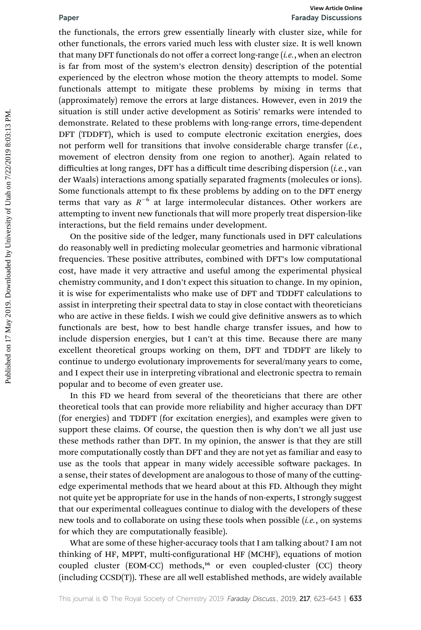the functionals, the errors grew essentially linearly with cluster size, while for other functionals, the errors varied much less with cluster size. It is well known that many DFT functionals do not offer a correct long-range  $(i.e.,$  when an electron is far from most of the system's electron density) description of the potential experienced by the electron whose motion the theory attempts to model. Some functionals attempt to mitigate these problems by mixing in terms that (approximately) remove the errors at large distances. However, even in 2019 the situation is still under active development as Sotiris' remarks were intended to demonstrate. Related to these problems with long-range errors, time-dependent DFT (TDDFT), which is used to compute electronic excitation energies, does not perform well for transitions that involve considerable charge transfer  $(i.e.,$ movement of electron density from one region to another). Again related to difficulties at long ranges, DFT has a difficult time describing dispersion  $(i.e.,$  van der Waals) interactions among spatially separated fragments (molecules or ions). Some functionals attempt to fix these problems by adding on to the DFT energy terms that vary as  $R^{-6}$  at large intermolecular distances. Other workers are attempting to invent new functionals that will more properly treat dispersion-like interactions, but the field remains under development. Franch the more grow is the more and the more and the more and the more and the more of the more of the more of the more of the more of the system in the more of the system is the more of the system sectrom describes the c

On the positive side of the ledger, many functionals used in DFT calculations do reasonably well in predicting molecular geometries and harmonic vibrational frequencies. These positive attributes, combined with DFT's low computational cost, have made it very attractive and useful among the experimental physical chemistry community, and I don't expect this situation to change. In my opinion, it is wise for experimentalists who make use of DFT and TDDFT calculations to assist in interpreting their spectral data to stay in close contact with theoreticians who are active in these fields. I wish we could give definitive answers as to which functionals are best, how to best handle charge transfer issues, and how to include dispersion energies, but I can't at this time. Because there are many excellent theoretical groups working on them, DFT and TDDFT are likely to continue to undergo evolutionary improvements for several/many years to come, and I expect their use in interpreting vibrational and electronic spectra to remain popular and to become of even greater use.

In this FD we heard from several of the theoreticians that there are other theoretical tools that can provide more reliability and higher accuracy than DFT (for energies) and TDDFT (for excitation energies), and examples were given to support these claims. Of course, the question then is why don't we all just use these methods rather than DFT. In my opinion, the answer is that they are still more computationally costly than DFT and they are not yet as familiar and easy to use as the tools that appear in many widely accessible software packages. In a sense, their states of development are analogous to those of many of the cuttingedge experimental methods that we heard about at this FD. Although they might not quite yet be appropriate for use in the hands of non-experts, I strongly suggest that our experimental colleagues continue to dialog with the developers of these new tools and to collaborate on using these tools when possible (i.e., on systems for which they are computationally feasible).

What are some of these higher-accuracy tools that I am talking about? I am not thinking of HF, MPPT, multi-configurational HF (MCHF), equations of motion coupled cluster (EOM-CC) methods,<sup>16</sup> or even coupled-cluster (CC) theory (including CCSD(T)). These are all well established methods, are widely available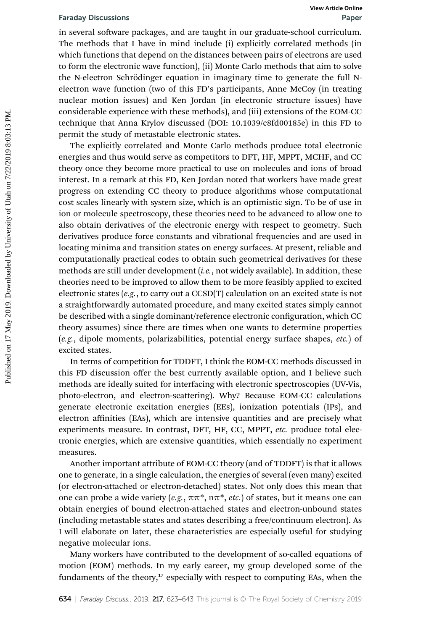in several software packages, and are taught in our graduate-school curriculum. The methods that I have in mind include (i) explicitly correlated methods (in which functions that depend on the distances between pairs of electrons are used to form the electronic wave function), (ii) Monte Carlo methods that aim to solve the N-electron Schrödinger equation in imaginary time to generate the full Nelectron wave function (two of this FD's participants, Anne McCoy (in treating nuclear motion issues) and Ken Jordan (in electronic structure issues) have considerable experience with these methods), and (iii) extensions of the EOM-CC technique that Anna Krylov discussed (DOI: 10.1039/c8fd00185e) in this FD to permit the study of metastable electronic states.

The explicitly correlated and Monte Carlo methods produce total electronic energies and thus would serve as competitors to DFT, HF, MPPT, MCHF, and CC theory once they become more practical to use on molecules and ions of broad interest. In a remark at this FD, Ken Jordan noted that workers have made great progress on extending CC theory to produce algorithms whose computational cost scales linearly with system size, which is an optimistic sign. To be of use in ion or molecule spectroscopy, these theories need to be advanced to allow one to also obtain derivatives of the electronic energy with respect to geometry. Such derivatives produce force constants and vibrational frequencies and are used in locating minima and transition states on energy surfaces. At present, reliable and computationally practical codes to obtain such geometrical derivatives for these methods are still under development  $(i.e., not widely available)$ . In addition, these theories need to be improved to allow them to be more feasibly applied to excited electronic states (e.g., to carry out a CCSD(T) calculation on an excited state is not a straightforwardly automated procedure, and many excited states simply cannot be described with a single dominant/reference electronic configuration, which CC theory assumes) since there are times when one wants to determine properties (e.g., dipole moments, polarizabilities, potential energy surface shapes, etc.) of excited states. For the second strength on the tend of the strength on the strength on the second controllar may all the second to the methods than the methods that the methods that the methods that the methods that on the determon standa

In terms of competition for TDDFT, I think the EOM-CC methods discussed in this FD discussion offer the best currently available option, and I believe such methods are ideally suited for interfacing with electronic spectroscopies (UV-Vis, photo-electron, and electron-scattering). Why? Because EOM-CC calculations generate electronic excitation energies (EEs), ionization potentials (IPs), and electron affinities (EAs), which are intensive quantities and are precisely what experiments measure. In contrast, DFT, HF, CC, MPPT, etc. produce total electronic energies, which are extensive quantities, which essentially no experiment measures.

Another important attribute of EOM-CC theory (and of TDDFT) is that it allows one to generate, in a single calculation, the energies of several (even many) excited (or electron-attached or electron-detached) states. Not only does this mean that one can probe a wide variety (e.g.,  $\pi \pi^*$ ,  $n \pi^*$ , etc.) of states, but it means one can obtain energies of bound electron-attached states and electron-unbound states (including metastable states and states describing a free/continuum electron). As I will elaborate on later, these characteristics are especially useful for studying negative molecular ions.

Many workers have contributed to the development of so-called equations of motion (EOM) methods. In my early career, my group developed some of the fundaments of the theory,<sup>17</sup> especially with respect to computing EAs, when the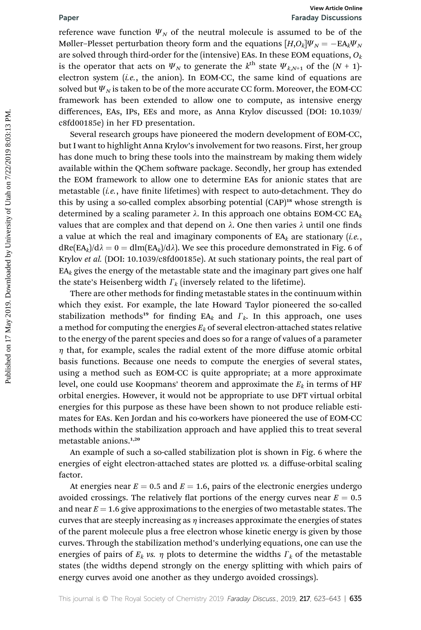# Paper Faraday Discussions

reference wave function  $\Psi_N$  of the neutral molecule is assumed to be of the Møller–Plesset perturbation theory form and the equations  $[H, O_k]\Psi_N = -E A_k \Psi_N$ are solved through third-order for the (intensive) EAs. In these EOM equations,  $O_k$ is the operator that acts on  $\Psi_N$  to generate the  $k^{\text{th}}$  state  $\Psi_{k,N+1}$  of the  $(N + 1)$ electron system  $(i.e.,$  the anion). In EOM-CC, the same kind of equations are solved but  $\Psi_N$  is taken to be of the more accurate CC form. Moreover, the EOM-CC framework has been extended to allow one to compute, as intensive energy differences, EAs, IPs, EEs and more, as Anna Krylov discussed (DOI: 10.1039/ c8fd00185e) in her FD presentation.

Several research groups have pioneered the modern development of EOM-CC, but I want to highlight Anna Krylov's involvement for two reasons. First, her group has done much to bring these tools into the mainstream by making them widely available within the QChem software package. Secondly, her group has extended the EOM framework to allow one to determine EAs for anionic states that are metastable  $(i.e.,$  have finite lifetimes) with respect to auto-detachment. They do this by using a so-called complex absorbing potential  $(CAP)^{18}$  whose strength is determined by a scaling parameter  $\lambda$ . In this approach one obtains EOM-CC EA<sub>k</sub> values that are complex and that depend on  $\lambda$ . One then varies  $\lambda$  until one finds a value at which the real and imaginary components of  $EA_k$  are stationary (*i.e.*,  $dRe(EA_k)/d\lambda = 0 = dIm(EA_k)/d\lambda$ . We see this procedure demonstrated in Fig. 6 of Krylov et al. (DOI: 10.1039/c8fd00185e). At such stationary points, the real part of  $EA_k$  gives the energy of the metastable state and the imaginary part gives one half the state's Heisenberg width  $\Gamma_k$  (inversely related to the lifetime). **Paper**<br> **Franchy Discussions**<br> **Proference wave function**  $\Psi_{\gamma}$  **of the neutral molecule is assumed to be of the<br>
Meller-Plesset perturbation theory form and the equations [H/o]** $\Psi_{\gamma} = -\text{Eq}_2\Psi_{\gamma}$ **<br>
are solved through** 

There are other methods for finding metastable states in the continuum within which they exist. For example, the late Howard Taylor pioneered the so-called stabilization methods<sup>19</sup> for finding EA<sub>k</sub> and  $\Gamma_k$ . In this approach, one uses a method for computing the energies  $E_k$  of several electron-attached states relative to the energy of the parent species and does so for a range of values of a parameter  $\eta$  that, for example, scales the radial extent of the more diffuse atomic orbital basis functions. Because one needs to compute the energies of several states, using a method such as EOM-CC is quite appropriate; at a more approximate level, one could use Koopmans' theorem and approximate the  $E<sub>k</sub>$  in terms of HF orbital energies. However, it would not be appropriate to use DFT virtual orbital energies for this purpose as these have been shown to not produce reliable estimates for EAs. Ken Jordan and his co-workers have pioneered the use of EOM-CC methods within the stabilization approach and have applied this to treat several metastable anions.1,20

An example of such a so-called stabilization plot is shown in Fig. 6 where the energies of eight electron-attached states are plotted vs. a diffuse-orbital scaling factor.

At energies near  $E = 0.5$  and  $E = 1.6$ , pairs of the electronic energies undergo avoided crossings. The relatively flat portions of the energy curves near  $E = 0.5$ and near  $E = 1.6$  give approximations to the energies of two metastable states. The curves that are steeply increasing as  $\eta$  increases approximate the energies of states of the parent molecule plus a free electron whose kinetic energy is given by those curves. Through the stabilization method's underlying equations, one can use the energies of pairs of  $E_k$  vs.  $\eta$  plots to determine the widths  $\Gamma_k$  of the metastable states (the widths depend strongly on the energy splitting with which pairs of energy curves avoid one another as they undergo avoided crossings).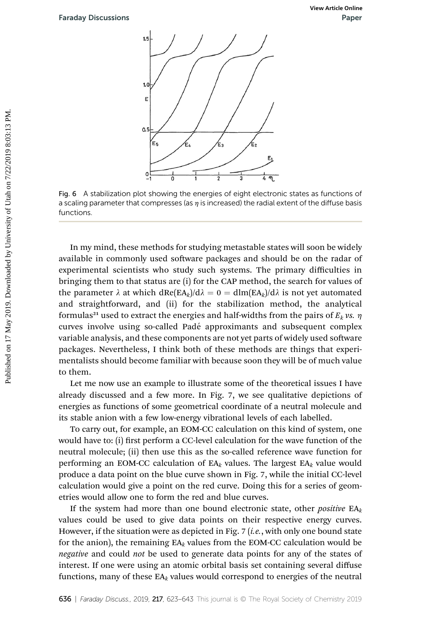

Fig. 6 A stabilization plot showing the energies of eight electronic states as functions of a scaling parameter that compresses (as  $\eta$  is increased) the radial extent of the diffuse basis functions.

In my mind, these methods for studying metastable states will soon be widely available in commonly used software packages and should be on the radar of experimental scientists who study such systems. The primary difficulties in bringing them to that status are (i) for the CAP method, the search for values of the parameter  $\lambda$  at which  $dRe(EA_k)/d\lambda = 0 = dIm(EA_k)/d\lambda$  is not yet automated and straightforward, and (ii) for the stabilization method, the analytical formulas<sup>21</sup> used to extract the energies and half-widths from the pairs of  $E_k$  vs.  $\eta$ curves involve using so-called Padé approximants and subsequent complex variable analysis, and these components are not yet parts of widely used software packages. Nevertheless, I think both of these methods are things that experimentalists should become familiar with because soon they will be of much value to them. Paraday Discussions<br>
Paper<br>
Published on 17<br>
Published on 17<br>
Published on 17 May 2019.<br>
Published and Cast Associates the material of University of University of University of Utah on 7/22<br>
Published by The American and

Let me now use an example to illustrate some of the theoretical issues I have already discussed and a few more. In Fig. 7, we see qualitative depictions of energies as functions of some geometrical coordinate of a neutral molecule and its stable anion with a few low-energy vibrational levels of each labelled.

To carry out, for example, an EOM-CC calculation on this kind of system, one would have to: (i) first perform a CC-level calculation for the wave function of the neutral molecule; (ii) then use this as the so-called reference wave function for performing an EOM-CC calculation of  $EA_k$  values. The largest  $EA_k$  value would produce a data point on the blue curve shown in Fig. 7, while the initial CC-level calculation would give a point on the red curve. Doing this for a series of geometries would allow one to form the red and blue curves.

If the system had more than one bound electronic state, other *positive*  $EA_k$ values could be used to give data points on their respective energy curves. However, if the situation were as depicted in Fig. 7 (i.e., with only one bound state for the anion), the remaining  $EA_k$  values from the EOM-CC calculation would be negative and could not be used to generate data points for any of the states of interest. If one were using an atomic orbital basis set containing several diffuse functions, many of these  $EA_k$  values would correspond to energies of the neutral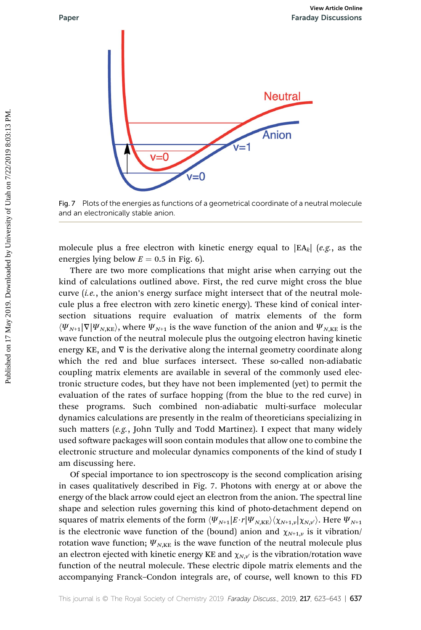



Fig. 7 Plots of the energies as functions of a geometrical coordinate of a neutral molecule and an electronically stable anion.

molecule plus a free electron with kinetic energy equal to  $|EA_k|$  (e.g., as the energies lying below  $E = 0.5$  in Fig. 6).

There are two more complications that might arise when carrying out the kind of calculations outlined above. First, the red curve might cross the blue curve (i.e., the anion's energy surface might intersect that of the neutral molecule plus a free electron with zero kinetic energy). These kind of conical intersection situations require evaluation of matrix elements of the form  $\langle \Psi_{N+1}|\nabla|\Psi_{N,KE}\rangle$ , where  $\Psi_{N+1}$  is the wave function of the anion and  $\Psi_{N,KE}$  is the wave function of the neutral molecule plus the outgoing electron having kinetic energy KE, and  $\nabla$  is the derivative along the internal geometry coordinate along which the red and blue surfaces intersect. These so-called non-adiabatic coupling matrix elements are available in several of the commonly used electronic structure codes, but they have not been implemented (yet) to permit the evaluation of the rates of surface hopping (from the blue to the red curve) in these programs. Such combined non-adiabatic multi-surface molecular dynamics calculations are presently in the realm of theoreticians specializing in such matters (e.g., John Tully and Todd Martinez). I expect that many widely used software packages will soon contain modules that allow one to combine the electronic structure and molecular dynamics components of the kind of study I am discussing here.

Of special importance to ion spectroscopy is the second complication arising in cases qualitatively described in Fig. 7. Photons with energy at or above the energy of the black arrow could eject an electron from the anion. The spectral line shape and selection rules governing this kind of photo-detachment depend on squares of matrix elements of the form  $\langle\Psi_{N+1}|E\!\cdot\!r|\Psi_{N,KE}\rangle\langle\chi_{N+1,\nu}|\chi_{N,\nu}\rangle$ . Here  $\Psi_{N+1}$ is the electronic wave function of the (bound) anion and  $\chi_{N+1,y}$  is it vibration/ rotation wave function;  $\Psi_{N,KE}$  is the wave function of the neutral molecule plus an electron ejected with kinetic energy KE and  $\chi_{N,V}$  is the vibration/rotation wave function of the neutral molecule. These electric dipole matrix elements and the accompanying Franck–Condon integrals are, of course, well known to this FD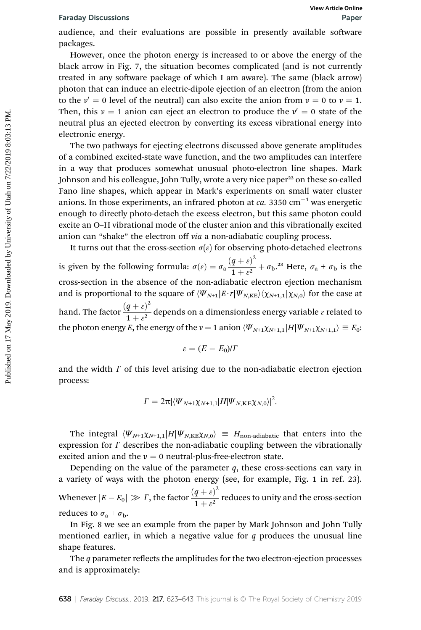audience, and their evaluations are possible in presently available software packages.

However, once the photon energy is increased to or above the energy of the black arrow in Fig. 7, the situation becomes complicated (and is not currently treated in any software package of which I am aware). The same (black arrow) photon that can induce an electric-dipole ejection of an electron (from the anion to the  $v' = 0$  level of the neutral) can also excite the anion from  $v = 0$  to  $v = 1$ . Then, this  $v = 1$  anion can eject an electron to produce the  $v' = 0$  state of the neutral plus an ejected electron by converting its excess vibrational energy into electronic energy.

The two pathways for ejecting electrons discussed above generate amplitudes of a combined excited-state wave function, and the two amplitudes can interfere in a way that produces somewhat unusual photo-electron line shapes. Mark Johnson and his colleague, John Tully, wrote a very nice paper<sup>22</sup> on these so-called Fano line shapes, which appear in Mark's experiments on small water cluster anions. In those experiments, an infrared photon at  $ca. 3350 \text{ cm}^{-1}$  was energetic enough to directly photo-detach the excess electron, but this same photon could excite an O–H vibrational mode of the cluster anion and this vibrationally excited anion can "shake" the electron off via a non-adiabatic coupling process. Faraday Discussions<br>
and their evaluations are possible in presently available software<br>
packages.<br>
However, once the photon energy of increased to or above the energy of the<br>
black arrow in Fig. 7, the situation becomes

It turns out that the cross-section  $\sigma(\varepsilon)$  for observing photo-detached electrons is given by the following formula:  $\sigma(\varepsilon) = \sigma_a \frac{(q+\varepsilon)^2}{1+\varepsilon^2}$  $\frac{q + c_j}{1 + \varepsilon^2} + \sigma_b$ .<sup>23</sup> Here,  $\sigma_a + \sigma_b$  is the cross-section in the absence of the non-adiabatic electron ejection mechanism and is proportional to the square of  $\langle\Psi_{N+1}|E\cdot r|\Psi_{N,KE}\rangle\langle\chi_{N+1,1}|\chi_{N,0}\rangle$  for the case at hand. The factor  $\frac{(q+\varepsilon)^2}{1+\varepsilon^2}$  $\frac{q+q}{1+\varepsilon^2}$  depends on a dimensionless energy variable  $\varepsilon$  related to the photon energy E, the energy of the  $v = 1$  anion  $\langle \Psi_{N+1}\chi_{N+1,1}|H|\Psi_{N+1}\chi_{N+1,1}\rangle \equiv E_0$ :

$$
\varepsilon = (E - E_0)/\Gamma
$$

and the width  $\Gamma$  of this level arising due to the non-adiabatic electron ejection process:

$$
\Gamma=2\pi|\langle\Psi_{N+1}\chi_{N+1,1}|H|\Psi_{N,\text{KE}}\chi_{N,0}\rangle|^2.
$$

The integral  $\langle \Psi_{N+1}\chi_{N+1,1}|H|\Psi_{N,KE}\chi_{N,0}\rangle \equiv H_{\text{non-adiabatic}}$  that enters into the expression for  $\Gamma$  describes the non-adiabatic coupling between the vibrationally excited anion and the  $v = 0$  neutral-plus-free-electron state.

Depending on the value of the parameter  $q$ , these cross-sections can vary in a variety of ways with the photon energy (see, for example, Fig. 1 in ref. 23). Whenever  $|E - E_0| \gg \Gamma$ , the factor  $\frac{(q+\varepsilon)^2}{1+\varepsilon^2}$  $\frac{q+q}{1+\varepsilon^2}$  reduces to unity and the cross-section reduces to  $\sigma_a + \sigma_b$ .

In Fig. 8 we see an example from the paper by Mark Johnson and John Tully mentioned earlier, in which a negative value for  $q$  produces the unusual line shape features.

The  $q$  parameter reflects the amplitudes for the two electron-ejection processes and is approximately: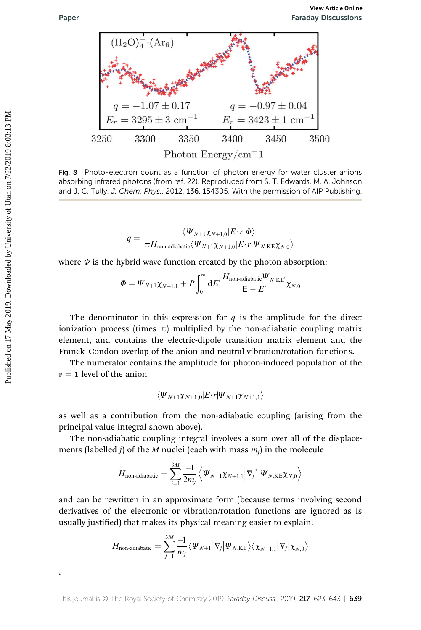

Fig. 8 Photo-electron count as a function of photon energy for water cluster anions absorbing infrared photons (from ref. 22). Reproduced from S. T. Edwards, M. A. Johnson and J. C. Tully, J. Chem. Phys., 2012, 136, 154305. With the permission of AIP Publishing.

$$
q = \frac{\langle \Psi_{N+1} \chi_{N+1,0} | E\cdot r | \Phi \rangle}{\pi H_{\text{non-adiabatic}} \langle \Psi_{N+1} \chi_{N+1,0} | E\cdot r | \Psi_{N,\text{KE}} \chi_{N,0} \rangle}
$$

where  $\Phi$  is the hybrid wave function created by the photon absorption:

$$
\Phi = \Psi_{N+1}\chi_{N+1,1} + P \int_0^\infty dE' \frac{H_{\text{non-adiabatic}}\Psi_{N,\text{KE'}}}{\mathsf{E} - E'} \chi_{N,0}
$$

The denominator in this expression for  $q$  is the amplitude for the direct ionization process (times  $\pi$ ) multiplied by the non-adiabatic coupling matrix element, and contains the electric-dipole transition matrix element and the Franck–Condon overlap of the anion and neutral vibration/rotation functions.

The numerator contains the amplitude for photon-induced population of the  $\nu = 1$  level of the anion

$$
\langle \Psi_{N+1}\chi_{N+1,0} | E\!\cdot\! r |\Psi_{N+1}\chi_{N+1,1} \rangle
$$

as well as a contribution from the non-adiabatic coupling (arising from the principal value integral shown above).

The non-adiabatic coupling integral involves a sum over all of the displacements (labelled  $j$ ) of the M nuclei (each with mass  $m_j$ ) in the molecule

$$
H_{\text{non-adiabatic}}=\sum_{j=1}^{3M}\frac{-1}{2m_j}\Big\langle\Psi_{N+1}\chi_{N+1,1}\Big|\nabla_j{}^2\Big|\Psi_{N,\text{KE}}\chi_{N,0}\Big\rangle
$$

and can be rewritten in an approximate form (because terms involving second derivatives of the electronic or vibration/rotation functions are ignored as is usually justified) that makes its physical meaning easier to explain:

$$
H_{\text{non-adiabatic}}=\sum_{j=1}^{3M}\frac{-1}{m_j}\big\langle\Psi_{N+1}\big|\nabla_j\big|\Psi_{N,\text{KE}}\big\rangle\big\langle\chi_{N+1,1}\big|\nabla_j\big|\chi_{N,0}\big\rangle
$$

.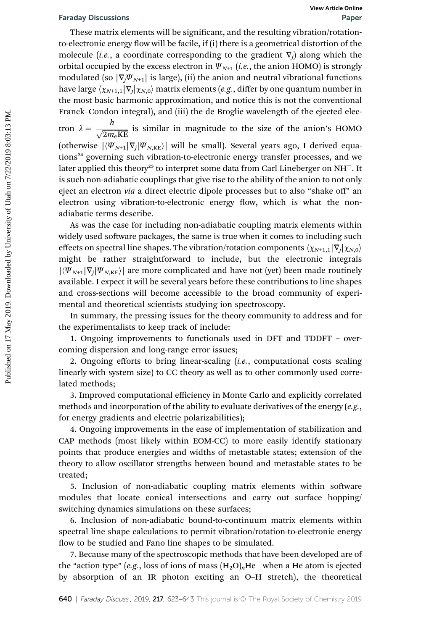These matrix elements will be significant, and the resulting vibration/rotationto-electronic energy flow will be facile, if (i) there is a geometrical distortion of the molecule (*i.e.*, a coordinate corresponding to the gradient  $\nabla_i$ ) along which the orbital occupied by the excess electron in  $\Psi_{N+1}$  (*i.e.*, the anion HOMO) is strongly modulated (so  $|\nabla_i \Psi_{N+1}|$  is large), (ii) the anion and neutral vibrational functions have large  $\langle \chi_{N+1,1}|\nabla_i|\chi_{N,0}\rangle$  matrix elements (e.g., differ by one quantum number in the most basic harmonic approximation, and notice this is not the conventional Franck–Condon integral), and (iii) the de Broglie wavelength of the ejected electron  $\lambda = \frac{h}{\sqrt{2m_e\text{KE}}}$  is similar in magnitude to the size of the anion's HOMO (otherwise  $|\langle \Psi_{N+1}|\nabla_i|\Psi_{N,KE}\rangle|$  will be small). Several years ago, I derived equations<sup>24</sup> governing such vibration-to-electronic energy transfer processes, and we later applied this theory<sup>25</sup> to interpret some data from Carl Lineberger on NH<sup>-</sup>. It is such non-adiabatic couplings that give rise to the ability of the anion to not only eject an electron via a direct electric dipole processes but to also "shake off" an electron using vibration-to-electronic energy flow, which is what the nonadiabatic terms describe. Faraday Diecussions<br>
These matrix elements will be significant, and the resulting vibraton/rotation-<br>
These matrix elements will be facile, if (i) there is a geometrical distortion of the<br>
orbital occupied by the excess e

As was the case for including non-adiabatic coupling matrix elements within widely used software packages, the same is true when it comes to including such effects on spectral line shapes. The vibration/rotation components  $\langle \chi_{N+1,1}|\nabla_i|\chi_{N,0}\rangle$ might be rather straightforward to include, but the electronic integrals  $|\langle \Psi_{N+1}|\nabla_i|\Psi_{N,KE}\rangle|$  are more complicated and have not (yet) been made routinely available. I expect it will be several years before these contributions to line shapes and cross-sections will become accessible to the broad community of experimental and theoretical scientists studying ion spectroscopy.

In summary, the pressing issues for the theory community to address and for the experimentalists to keep track of include:

1. Ongoing improvements to functionals used in DFT and TDDFT – overcoming dispersion and long-range error issues;

2. Ongoing efforts to bring linear-scaling  $(i.e.,$  computational costs scaling linearly with system size) to CC theory as well as to other commonly used correlated methods;

3. Improved computational efficiency in Monte Carlo and explicitly correlated methods and incorporation of the ability to evaluate derivatives of the energy  $(e.g.,$ for energy gradients and electric polarizabilities);

4. Ongoing improvements in the ease of implementation of stabilization and CAP methods (most likely within EOM-CC) to more easily identify stationary points that produce energies and widths of metastable states; extension of the theory to allow oscillator strengths between bound and metastable states to be treated;

5. Inclusion of non-adiabatic coupling matrix elements within software modules that locate conical intersections and carry out surface hopping/ switching dynamics simulations on these surfaces;

6. Inclusion of non-adiabatic bound-to-continuum matrix elements within spectral line shape calculations to permit vibration/rotation-to-electronic energy flow to be studied and Fano line shapes to be simulated.

7. Because many of the spectroscopic methods that have been developed are of the "action type" (e.g., loss of ions of mass  $(H_2O)_nHe^-$  when a He atom is ejected by absorption of an IR photon exciting an O–H stretch), the theoretical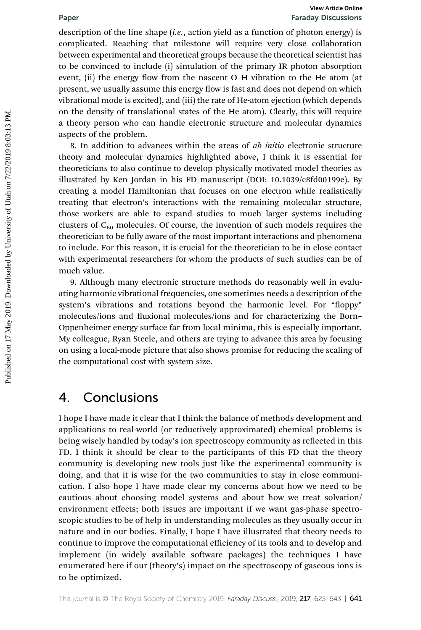description of the line shape  $(i.e., action yield as a function of photon energy)$  is complicated. Reaching that milestone will require very close collaboration between experimental and theoretical groups because the theoretical scientist has to be convinced to include (i) simulation of the primary IR photon absorption event, (ii) the energy flow from the nascent O-H vibration to the He atom (at present, we usually assume this energy flow is fast and does not depend on which vibrational mode is excited), and (iii) the rate of He-atom ejection (which depends on the density of translational states of the He atom). Clearly, this will require a theory person who can handle electronic structure and molecular dynamics aspects of the problem.

8. In addition to advances within the areas of *ab initio* electronic structure theory and molecular dynamics highlighted above, I think it is essential for theoreticians to also continue to develop physically motivated model theories as illustrated by Ken Jordan in his FD manuscript (DOI: 10.1039/c8fd00199e). By creating a model Hamiltonian that focuses on one electron while realistically treating that electron's interactions with the remaining molecular structure, those workers are able to expand studies to much larger systems including clusters of  $C_{60}$  molecules. Of course, the invention of such models requires the theoretician to be fully aware of the most important interactions and phenomena to include. For this reason, it is crucial for the theoretician to be in close contact with experimental researchers for whom the products of such studies can be of much value. **Paper**<br> **Franchy Discussions**<br> **Encorplicated.** Reaching that milestone will require very close collaboration<br>
complicated. Reaching that milestone will require very close collaboration<br>
by conveniend university of the pr

9. Although many electronic structure methods do reasonably well in evaluating harmonic vibrational frequencies, one sometimes needs a description of the system's vibrations and rotations beyond the harmonic level. For "floppy" molecules/ions and fluxional molecules/ions and for characterizing the Born– Oppenheimer energy surface far from local minima, this is especially important. My colleague, Ryan Steele, and others are trying to advance this area by focusing on using a local-mode picture that also shows promise for reducing the scaling of the computational cost with system size.

## 4. Conclusions

I hope I have made it clear that I think the balance of methods development and applications to real-world (or reductively approximated) chemical problems is being wisely handled by today's ion spectroscopy community as reflected in this FD. I think it should be clear to the participants of this FD that the theory community is developing new tools just like the experimental community is doing, and that it is wise for the two communities to stay in close communication. I also hope I have made clear my concerns about how we need to be cautious about choosing model systems and about how we treat solvation/ environment effects; both issues are important if we want gas-phase spectroscopic studies to be of help in understanding molecules as they usually occur in nature and in our bodies. Finally, I hope I have illustrated that theory needs to continue to improve the computational efficiency of its tools and to develop and implement (in widely available software packages) the techniques I have enumerated here if our (theory's) impact on the spectroscopy of gaseous ions is to be optimized.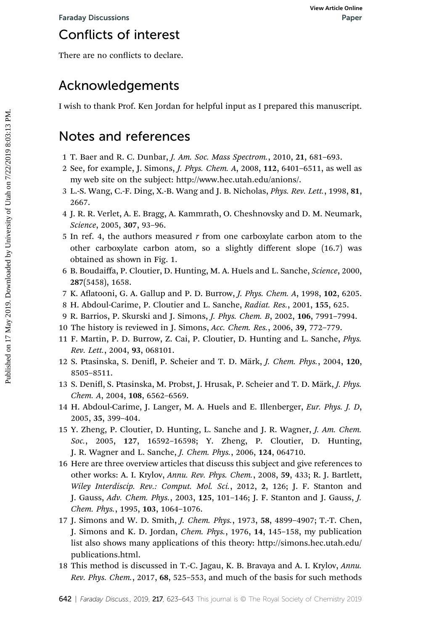# Conflicts of interest

There are no conflicts to declare.

# Acknowledgements

I wish to thank Prof. Ken Jordan for helpful input as I prepared this manuscript.

## Notes and references

- 1 T. Baer and R. C. Dunbar, J. Am. Soc. Mass Spectrom., 2010, 21, 681–693.
- 2 See, for example, J. Simons, J. Phys. Chem. A, 2008, 112, 6401–6511, as well as my web site on the subject: http://www.hec.utah.edu/anions/.
- 3 L.-S. Wang, C.-F. Ding, X.-B. Wang and J. B. Nicholas, Phys. Rev. Lett., 1998, 81, 2667.
- 4 J. R. R. Verlet, A. E. Bragg, A. Kammrath, O. Cheshnovsky and D. M. Neumark, Science, 2005, 307, 93–96.
- 5 In ref. 4, the authors measured  $r$  from one carboxylate carbon atom to the other carboxylate carbon atom, so a slightly different slope (16.7) was obtained as shown in Fig. 1. Foraday Discussions<br> **Conflicts of interest**<br>
There are no conflicts to declare.<br> **Acknowledgements**<br>
I wish to thank Prof. Ken Jordan for helpful input as I prepared this manuscript.<br> **Notes and references**<br>
1 T. Baer and
	- 6 B. Boudaiffa, P. Cloutier, D. Hunting, M. A. Huels and L. Sanche, Science, 2000, 287(5458), 1658.
	- 7 K. Aflatooni, G. A. Gallup and P. D. Burrow, J. Phys. Chem. A, 1998, 102, 6205.
	- 8 H. Abdoul-Carime, P. Cloutier and L. Sanche, Radiat. Res., 2001, 155, 625.
	- 9 R. Barrios, P. Skurski and J. Simons, J. Phys. Chem. B, 2002, 106, 7991–7994.
	- 10 The history is reviewed in J. Simons, Acc. Chem. Res., 2006, 39, 772–779.
	- 11 F. Martin, P. D. Burrow, Z. Cai, P. Cloutier, D. Hunting and L. Sanche, Phys. Rev. Lett., 2004, 93, 068101.
	- 12 S. Ptasinska, S. Denifl, P. Scheier and T. D. Märk, J. Chem. Phys., 2004, 120, 8505–8511.
	- 13 S. Denifl, S. Ptasinska, M. Probst, J. Hrusak, P. Scheier and T. D. Märk, J. Phys. Chem. A, 2004, 108, 6562–6569.
	- 14 H. Abdoul-Carime, J. Langer, M. A. Huels and E. Illenberger, Eur. Phys. J. D, 2005, 35, 399–404.
	- 15 Y. Zheng, P. Cloutier, D. Hunting, L. Sanche and J. R. Wagner, J. Am. Chem. Soc., 2005, 127, 16592–16598; Y. Zheng, P. Cloutier, D. Hunting, J. R. Wagner and L. Sanche, J. Chem. Phys., 2006, 124, 064710.
	- 16 Here are three overview articles that discuss this subject and give references to other works: A. I. Krylov, Annu. Rev. Phys. Chem., 2008, 59, 433; R. J. Bartlett, Wiley Interdiscip. Rev.: Comput. Mol. Sci., 2012, 2, 126; J. F. Stanton and J. Gauss, Adv. Chem. Phys., 2003, 125, 101–146; J. F. Stanton and J. Gauss, J. Chem. Phys., 1995, 103, 1064–1076.
	- 17 J. Simons and W. D. Smith, J. Chem. Phys., 1973, 58, 4899–4907; T.-T. Chen, J. Simons and K. D. Jordan, Chem. Phys., 1976, 14, 145–158, my publication list also shows many applications of this theory: http://simons.hec.utah.edu/ publications.html.
	- 18 This method is discussed in T.-C. Jagau, K. B. Bravaya and A. I. Krylov, Annu. Rev. Phys. Chem., 2017, 68, 525–553, and much of the basis for such methods